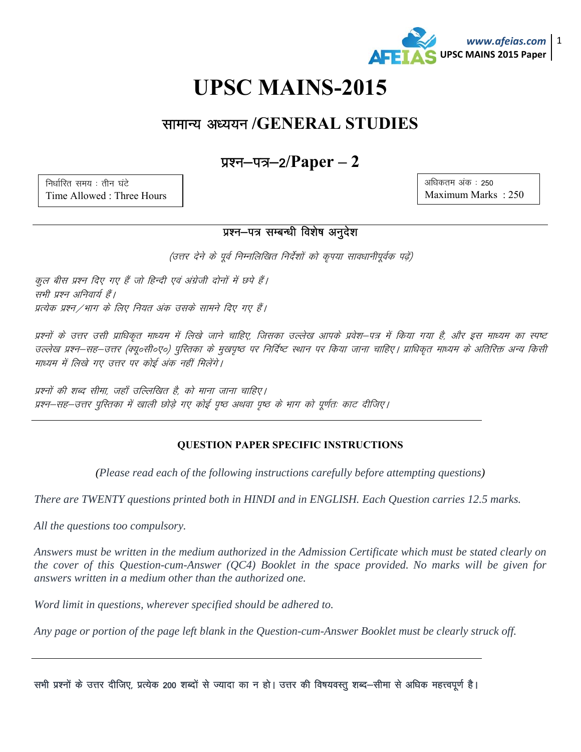

अधिकतम अंक: 250

Maximum Marks: 250

# **UPSC MAINS-2015**

### सामान्य अध्ययन /GENERAL STUDIES

### प्रश्न—पत्र—2/ $Paper - 2$

निर्धारित समय: तीन घंटे Time Allowed: Three Hours

## प्रश्न-पत्र सम्बन्धी विशेष अनुदेश

(उत्तर देने के पूर्व निम्नलिखित निर्देशों को कृपया सावधानीपूर्वक पढ़ें)

कूल बीस प्रश्न दिए गए हैं जो हिन्दी एवं अंग्रेजी दोनों में छपे हैं। सभी प्रश्न अनिवार्य हैं। प्रत्येक प्रश्न /भाग के लिए नियत अंक उसके सामने दिए गए हैं।

प्रश्नों के उत्तर उसी प्राधिकृत माध्यम में लिखे जाने चाहिए, जिसका उल्लेख आपके प्रवेश–पत्र में किया गया है, और इस माध्यम का स्पष्ट उल्लेख प्रश्न–सह–उत्तर (क्यू०सी०ए०) पुस्तिका के मुखपृष्ठ पर निर्दिष्ट स्थान पर किया जाना चाहिए। प्राधिकृत माध्यम के अतिरिक्त अन्य किसी माध्यम में लिखे गए उत्तर पर कोई अंक नहीं मिलेंगे।

प्रश्नों की शब्द सीमा. जहाँ उल्लिखित है. को माना जाना चाहिए। प्रश्न-सह-उत्तर पुस्तिका में खाली छोड़े गए कोई पृष्ठ अथवा पृष्ठ के भाग को पूर्णतः काट दीजिए।

#### **QUESTION PAPER SPECIFIC INSTRUCTIONS**

(Please read each of the following instructions carefully before attempting questions)

There are TWENTY questions printed both in HINDI and in ENGLISH. Each Question carries 12.5 marks.

All the questions too compulsory.

Answers must be written in the medium authorized in the Admission Certificate which must be stated clearly on the cover of this Question-cum-Answer ( $OC4$ ) Booklet in the space provided. No marks will be given for answers written in a medium other than the authorized one.

Word limit in questions, wherever specified should be adhered to.

Any page or portion of the page left blank in the Question-cum-Answer Booklet must be clearly struck off.

सभी प्रश्नों के उत्तर दीजिए, प्रत्येक 200 शब्दों से ज्यादा का न हो। उत्तर की विषयवस्तु शब्द–सीमा से अधिक महत्त्वपूर्ण है।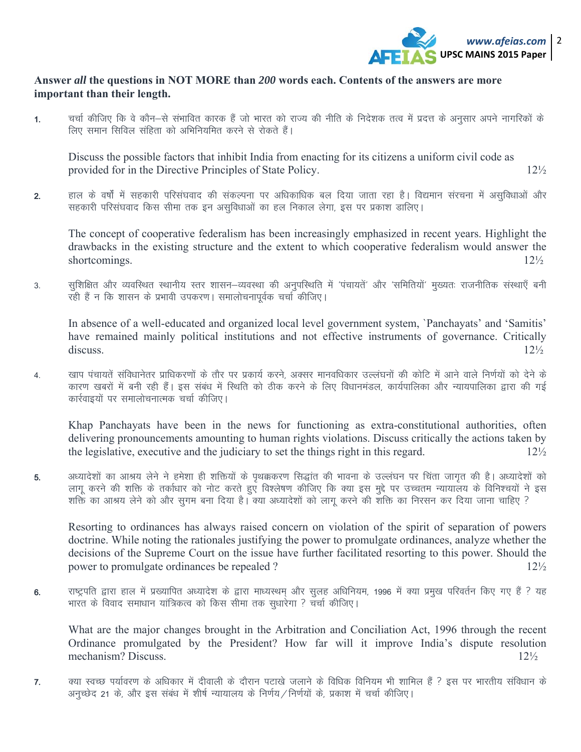

#### **Answer** *all* **the questions in NOT MORE than** *200* **words each. Contents of the answers are more important than their length.**

1. चर्चा कीजिए कि वे कौन—से संभावित कारक हैं जो भारत को राज्य की नीति के निदेशक तत्व में प्रदत्त के अनुसार अपने नागरिकों के लिए समान सिविल संहिता को अभिनियमित करने से रोकते हैं।

Discuss the possible factors that inhibit India from enacting for its citizens a uniform civil code as provided for in the Directive Principles of State Policy. 12<sup>1</sup>/<sub>2</sub>

2. हाल के वर्षों में सहकारी परिसंघवाद की संकल्पना पर अधिकाधिक बल दिया जाता रहा है। विद्यमान संरचना में असविधाओं और सहकारी परिसंघवाद किस सीमा तक इन असुविधाओं का हल निकाल लेगा, इस पर प्रकाश डालिए।

The concept of cooperative federalism has been increasingly emphasized in recent years. Highlight the drawbacks in the existing structure and the extent to which cooperative federalism would answer the shortcomings. 12½

3. सुशिक्षित और व्यवस्थित स्थानीय स्तर शासन–व्यवस्था की अनुपस्थिति में 'पंचायतें' और 'समितियों' मुख्यतः राजनीतिक संस्थाएँ बनी रही हैं न कि शासन के प्रभावी उपकरण। समालोचनापूर्वक चर्चा कीजिए।

In absence of a well-educated and organized local level government system, `Panchayats' and 'Samitis' have remained mainly political institutions and not effective instruments of governance. Critically discuss.  $12\frac{1}{2}$ 

4. खाप पंचायतें संविधानेतर प्राधिकरणों के तौर पर प्रकार्य करने, अक्सर मानवधिकार उल्लंघनों की कोटि में आने वाले निर्णयों को देने के कारण खबरों में बनी रही हैं। इस संबंध में स्थिति को ठीक करने के लिए विधानमंडल, कार्यपालिका और न्यायपालिका द्वारा की गई कार्रवाइयों पर समालोचनात्मक चर्चा कीजिए।

Khap Panchayats have been in the news for functioning as extra-constitutional authorities, often delivering pronouncements amounting to human rights violations. Discuss critically the actions taken by the legislative, executive and the judiciary to set the things right in this regard.  $12\frac{1}{2}$ 

5. अध्यादेशों का आश्रय लेने ने हमेशा ही शक्तियों के पथक्करण सिद्धांत की भावना के उल्लंघन पर चिंता जागत की है। अध्यादेशों को लागू करने की शक्ति के तर्काधार को नोट करते हुएँ विश्लेषण कीजिए कि क्या इस मुद्दे पर उच्चतम न्यायालय के विनिश्चयों ने इस शक्ति का आश्रय लेने को और सुगम बना दिया है। क्या अध्यादेशों को लागू करने की शक्ति का निरसन कर दिया जाना चाहिए ?

Resorting to ordinances has always raised concern on violation of the spirit of separation of powers doctrine. While noting the rationales justifying the power to promulgate ordinances, analyze whether the decisions of the Supreme Court on the issue have further facilitated resorting to this power. Should the power to promulgate ordinances be repealed ? 12<sup>1/2</sup>

6. राष्ट्रपति द्वारा हाल में प्रख्यापित अध्यादेश के द्वारा माध्यस्थम् और सुलह अधिनियम, 1996 में क्या प्रमुख परिवर्तन किए गए हैं ? यह भारत के विवाद समाधान यांत्रिकत्व को किस सीमा तक सुधारेगा ? चर्चा कीजिए।

What are the major changes brought in the Arbitration and Conciliation Act, 1996 through the recent Ordinance promulgated by the President? How far will it improve India's dispute resolution mechanism? Discuss. 12½

7. क्या स्वच्छ पर्यावरण के अधिकार में दीवाली के दौरान पटाखे जलाने के विधिक विनियम भी शामिल हैं ? इस पर भारतीय संविधान के अनुच्छेद 21 के, और इस संबंध में शीर्ष न्यायालय के निर्णय/निर्णयों के, प्रकाश में चर्चा कीजिए।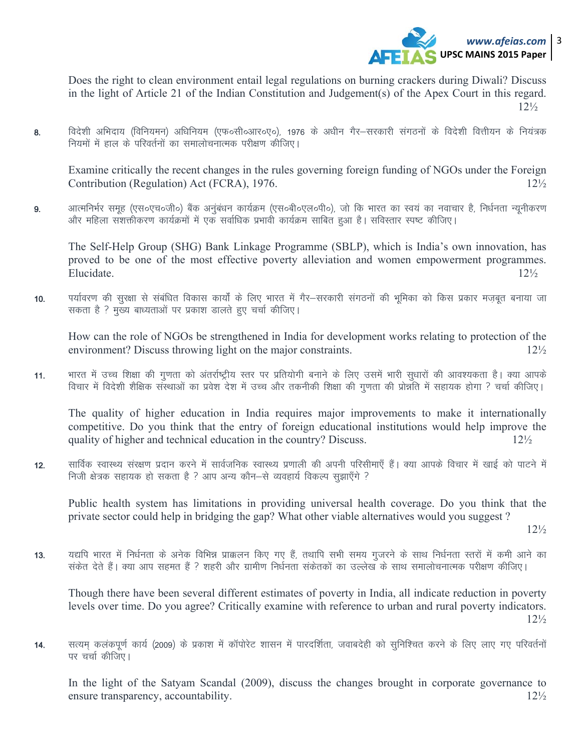

Does the right to clean environment entail legal regulations on burning crackers during Diwali? Discuss in the light of Article 21 of the Indian Constitution and Judgement(s) of the Apex Court in this regard.  $12\frac{1}{2}$ 

विदेशी अभिदाय (विनियमन) अधिनियम (एफ०सी०आर०ए०). 1976 के अधीन गैर–सरकारी संगठनों के विदेशी वित्तीयन के नियंत्रक 8. नियमों में हाल के परिवर्तनों का समालोचनात्मक परीक्षण कीजिए।

Examine critically the recent changes in the rules governing foreign funding of NGOs under the Foreign Contribution (Regulation) Act (FCRA), 1976.  $12\frac{1}{2}$ 

आत्मनिर्भर समूह (एस०एच०जी०) बैंक अनुंबंधन कार्यक्रम (एस०बी०एल०पी०), जो कि भारत का स्वयं का नवाचार है, निर्धनता न्यूनीकरण 9. और महिला सशक्तीकरण कार्यक्रमों में एक सर्वाधिक प्रभावी कार्यक्रम साबित हुआ है। सविस्तार स्पष्ट कीजिए।

The Self-Help Group (SHG) Bank Linkage Programme (SBLP), which is India's own innovation, has proved to be one of the most effective poverty alleviation and women empowerment programmes. Elucidate.  $12\frac{1}{2}$ 

पर्यावरण की सुरक्षा से संबंधित विकास कार्यों के लिए भारत में गैर—सरकारी संगठनों की भूमिका को किस प्रकार मजबूत बनाया जा  $10.$ सकता है ? मुख्य बाध्यताओं पर प्रकाश डालते हुए चर्चा कीजिए।

How can the role of NGOs be strengthened in India for development works relating to protection of the environment? Discuss throwing light on the major constraints.  $12\frac{1}{2}$ 

भारत में उच्च शिक्षा की गणता को अंतर्राष्ट्रीय स्तर पर प्रतियोगी बनाने के लिए उसमें भारी सुधारों की आवश्यकता है। क्या आपके  $11.$ विचार में विदेशी शैक्षिक संस्थाओं का प्रवेश देश में उच्च और तकनीकी शिक्षा की गुणता की प्रोन्नति में सहायक होगा ? चर्चा कीजिए।

The quality of higher education in India requires major improvements to make it internationally competitive. Do you think that the entry of foreign educational institutions would help improve the quality of higher and technical education in the country? Discuss.  $12\frac{1}{2}$ 

सार्विक स्वास्थ्य संरक्षण प्रदान करने में सार्वजनिक स्वास्थ्य प्रणाली की अपनी परिसीमाएँ हैं। क्या आपके विचार में खाई को पाटने में  $12.$ निजी क्षेत्रक सहायक हो सकता है ? आप अन्य कौन–से व्यवहार्य विकल्प सुझाएँगे ?

Public health system has limitations in providing universal health coverage. Do you think that the private sector could help in bridging the gap? What other viable alternatives would you suggest?

 $12\frac{1}{2}$ 

यद्यपि भारत में निर्धनता के अनेक विभिन्न प्राक्कलन किए गए हैं, तथापि सभी समय गुजरने के साथ निर्धनता स्तरों में कमी आने का  $13.$ संकेत देते हैं। क्या आप सहमत हैं ? शहरी और ग्रामीण निर्धनता संकेतकों का उल्लेख के साथ समालोचनात्मक परीक्षण कीजिए।

Though there have been several different estimates of poverty in India, all indicate reduction in poverty levels over time. Do you agree? Critically examine with reference to urban and rural poverty indicators.  $12\frac{1}{2}$ 

सत्यम कलकपूर्ण कार्य (2009) के प्रकाश में कॉपोरेट शासन में पारदर्शिता, जवाबदेही को सुनिश्चित करने के लिए लाए गए परिवर्तनों  $14.$ पर चर्चा कीजिए।

In the light of the Satyam Scandal (2009), discuss the changes brought in corporate governance to ensure transparency, accountability.  $12\frac{1}{2}$